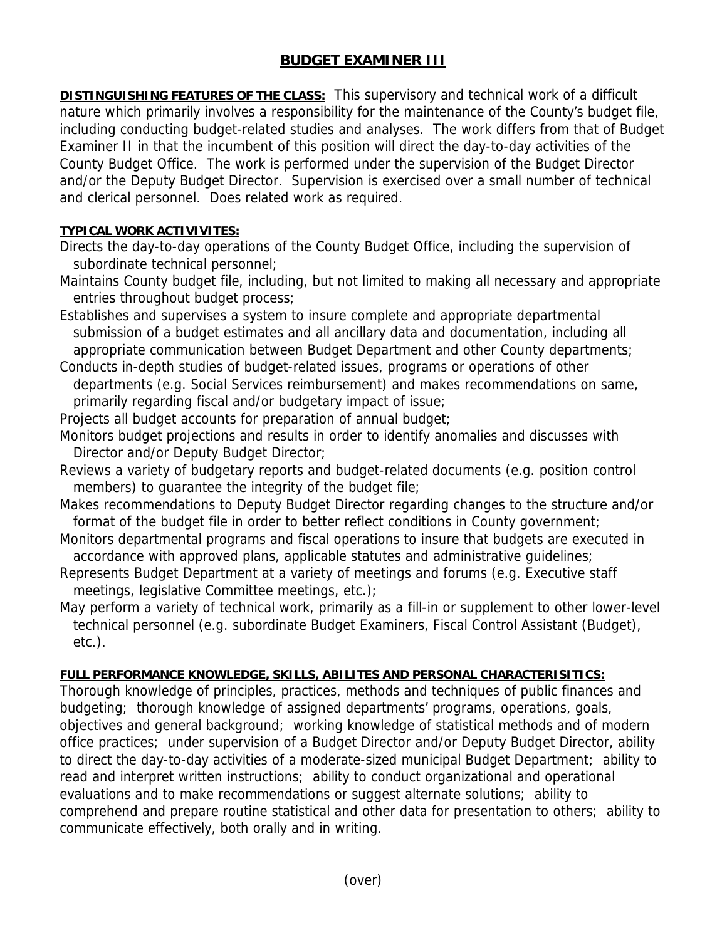## **BUDGET EXAMINER III**

**DISTINGUISHING FEATURES OF THE CLASS:** This supervisory and technical work of a difficult nature which primarily involves a responsibility for the maintenance of the County's budget file, including conducting budget-related studies and analyses. The work differs from that of Budget Examiner II in that the incumbent of this position will direct the day-to-day activities of the County Budget Office. The work is performed under the supervision of the Budget Director and/or the Deputy Budget Director. Supervision is exercised over a small number of technical and clerical personnel. Does related work as required.

## **TYPICAL WORK ACTIVIVITES:**

- Directs the day-to-day operations of the County Budget Office, including the supervision of subordinate technical personnel;
- Maintains County budget file, including, but not limited to making all necessary and appropriate entries throughout budget process;
- Establishes and supervises a system to insure complete and appropriate departmental submission of a budget estimates and all ancillary data and documentation, including all appropriate communication between Budget Department and other County departments;
- Conducts in-depth studies of budget-related issues, programs or operations of other departments (e.g. Social Services reimbursement) and makes recommendations on same, primarily regarding fiscal and/or budgetary impact of issue;
- Projects all budget accounts for preparation of annual budget;
- Monitors budget projections and results in order to identify anomalies and discusses with Director and/or Deputy Budget Director;
- Reviews a variety of budgetary reports and budget-related documents (e.g. position control members) to guarantee the integrity of the budget file;
- Makes recommendations to Deputy Budget Director regarding changes to the structure and/or format of the budget file in order to better reflect conditions in County government;
- Monitors departmental programs and fiscal operations to insure that budgets are executed in accordance with approved plans, applicable statutes and administrative guidelines;
- Represents Budget Department at a variety of meetings and forums (e.g. Executive staff meetings, legislative Committee meetings, etc.);
- May perform a variety of technical work, primarily as a fill-in or supplement to other lower-level technical personnel (e.g. subordinate Budget Examiners, Fiscal Control Assistant (Budget), etc.).

## **FULL PERFORMANCE KNOWLEDGE, SKILLS, ABILITES AND PERSONAL CHARACTERISITICS:**

Thorough knowledge of principles, practices, methods and techniques of public finances and budgeting; thorough knowledge of assigned departments' programs, operations, goals, objectives and general background; working knowledge of statistical methods and of modern office practices; under supervision of a Budget Director and/or Deputy Budget Director, ability to direct the day-to-day activities of a moderate-sized municipal Budget Department; ability to read and interpret written instructions; ability to conduct organizational and operational evaluations and to make recommendations or suggest alternate solutions; ability to comprehend and prepare routine statistical and other data for presentation to others; ability to communicate effectively, both orally and in writing.